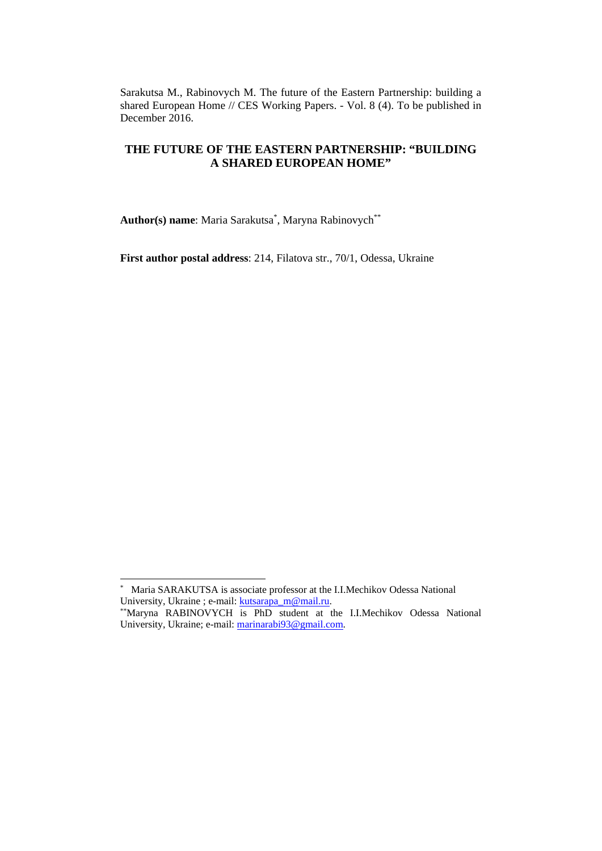Sarakutsa M., Rabinovych M. The future of the Eastern Partnership: building a shared European Home // CES Working Papers. - Vol. 8 (4). To be published in December 2016.

# **THE FUTURE OF THE EASTERN PARTNERSHIP: "BUILDING A SHARED EUROPEAN HOME"**

**Author(s) name**: Maria Sarakutsa\* , Maryna Rabinovych\*\*

**First author postal address**: 214, Filatova str., 70/1, Odessa, Ukraine

-

<sup>\*</sup> <sup>\*</sup> Maria SARAKUTSA is associate professor at the I.I.Mechikov Odessa National University, Ukraine ; e-mail:  $kutsarapa_m@mail.nu$ .

<sup>\*\*</sup>Maryna RABINOVYCH is PhD student at the I.I.Mechikov Odessa National University, Ukraine; e-mail: marinarabi93@gmail.com.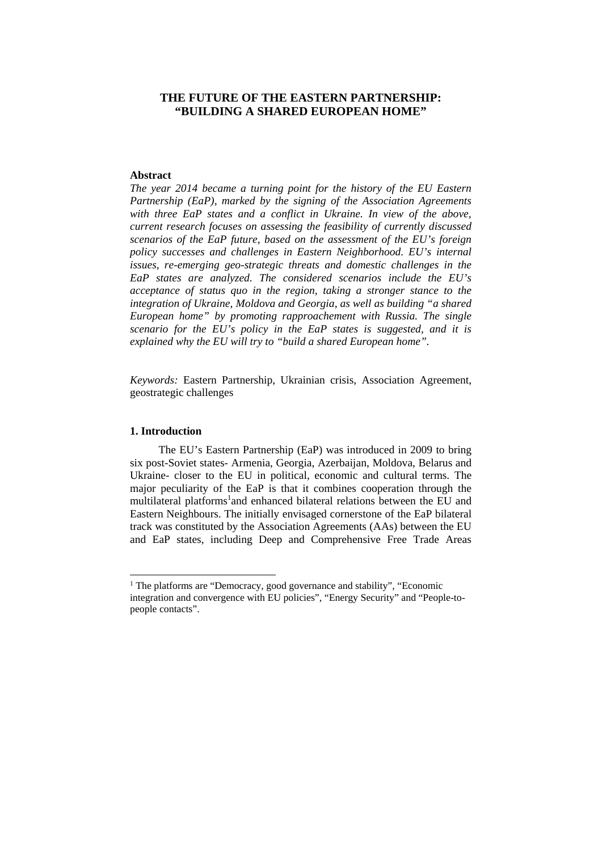# **THE FUTURE OF THE EASTERN PARTNERSHIP: "BUILDING A SHARED EUROPEAN HOME"**

#### **Abstract**

*The year 2014 became a turning point for the history of the EU Eastern Partnership (EaP), marked by the signing of the Association Agreements*  with three EaP states and a conflict in Ukraine. In view of the above, *current research focuses on assessing the feasibility of currently discussed scenarios of the EaP future, based on the assessment of the EU's foreign policy successes and challenges in Eastern Neighborhood. EU's internal issues, re-emerging geo-strategic threats and domestic challenges in the EaP states are analyzed. The considered scenarios include the EU's acceptance of status quo in the region, taking a stronger stance to the integration of Ukraine, Moldova and Georgia, as well as building "a shared European home" by promoting rapproachement with Russia. The single scenario for the EU's policy in the EaP states is suggested, and it is explained why the EU will try to "build a shared European home".* 

*Keywords:* Eastern Partnership, Ukrainian crisis, Association Agreement, geostrategic challenges

#### **1. Introduction**

<u>.</u>

The EU's Eastern Partnership (EaP) was introduced in 2009 to bring six post-Soviet states- Armenia, Georgia, Azerbaijan, Moldova, Belarus and Ukraine- closer to the EU in political, economic and cultural terms. The major peculiarity of the EaP is that it combines cooperation through the multilateral platforms<sup>1</sup> and enhanced bilateral relations between the EU and Eastern Neighbours. The initially envisaged cornerstone of the EaP bilateral track was constituted by the Association Agreements (AAs) between the EU and EaP states, including Deep and Comprehensive Free Trade Areas

<sup>&</sup>lt;sup>1</sup> The platforms are "Democracy, good governance and stability", "Economic integration and convergence with EU policies", "Energy Security" and "People-topeople contacts".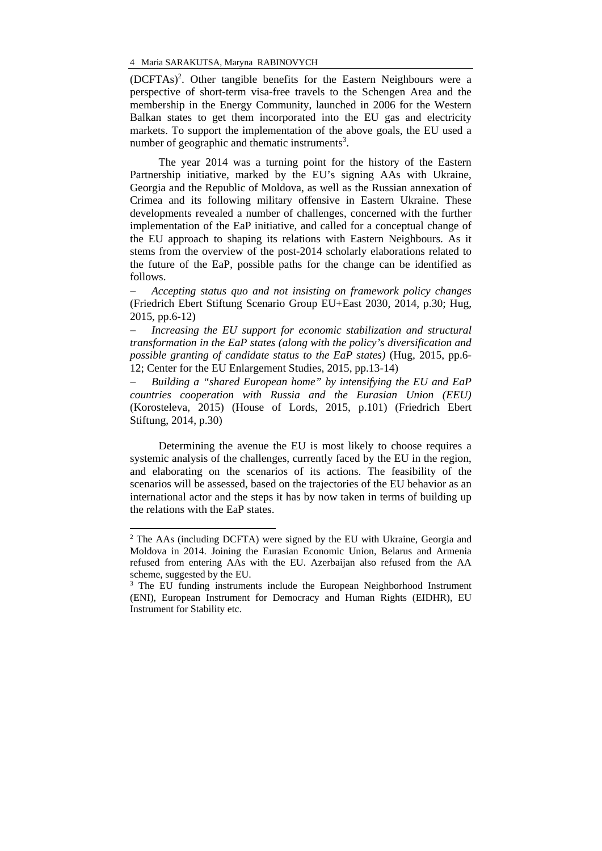(DCFTAs)<sup>2</sup>. Other tangible benefits for the Eastern Neighbours were a perspective of short-term visa-free travels to the Schengen Area and the membership in the Energy Community, launched in 2006 for the Western Balkan states to get them incorporated into the EU gas and electricity markets. To support the implementation of the above goals, the EU used a number of geographic and thematic instruments<sup>3</sup>.

The year 2014 was a turning point for the history of the Eastern Partnership initiative, marked by the EU's signing AAs with Ukraine, Georgia and the Republic of Moldova, as well as the Russian annexation of Crimea and its following military offensive in Eastern Ukraine. These developments revealed a number of challenges, concerned with the further implementation of the EaP initiative, and called for a conceptual change of the EU approach to shaping its relations with Eastern Neighbours. As it stems from the overview of the post-2014 scholarly elaborations related to the future of the EaP, possible paths for the change can be identified as follows.

 *Accepting status quo and not insisting on framework policy changes* (Friedrich Ebert Stiftung Scenario Group EU+East 2030, 2014, p.30; Hug, 2015, pp.6-12)

 *Increasing the EU support for economic stabilization and structural transformation in the EaP states (along with the policy's diversification and possible granting of candidate status to the EaP states)* (Hug, 2015, pp.6- 12; Center for the EU Enlargement Studies, 2015, pp.13-14)

 *Building a "shared European home" by intensifying the EU and EaP countries cooperation with Russia and the Eurasian Union (EEU)* (Korosteleva, 2015) (House of Lords, 2015, p.101) (Friedrich Ebert Stiftung, 2014, p.30)

Determining the avenue the EU is most likely to choose requires a systemic analysis of the challenges, currently faced by the EU in the region, and elaborating on the scenarios of its actions. The feasibility of the scenarios will be assessed, based on the trajectories of the EU behavior as an international actor and the steps it has by now taken in terms of building up the relations with the EaP states.

-

<sup>&</sup>lt;sup>2</sup> The AAs (including DCFTA) were signed by the EU with Ukraine, Georgia and Moldova in 2014. Joining the Eurasian Economic Union, Belarus and Armenia refused from entering AAs with the EU. Azerbaijan also refused from the AA scheme, suggested by the EU.

<sup>&</sup>lt;sup>3</sup> The EU funding instruments include the European Neighborhood Instrument (ENI), European Instrument for Democracy and Human Rights (EIDHR), EU Instrument for Stability etc.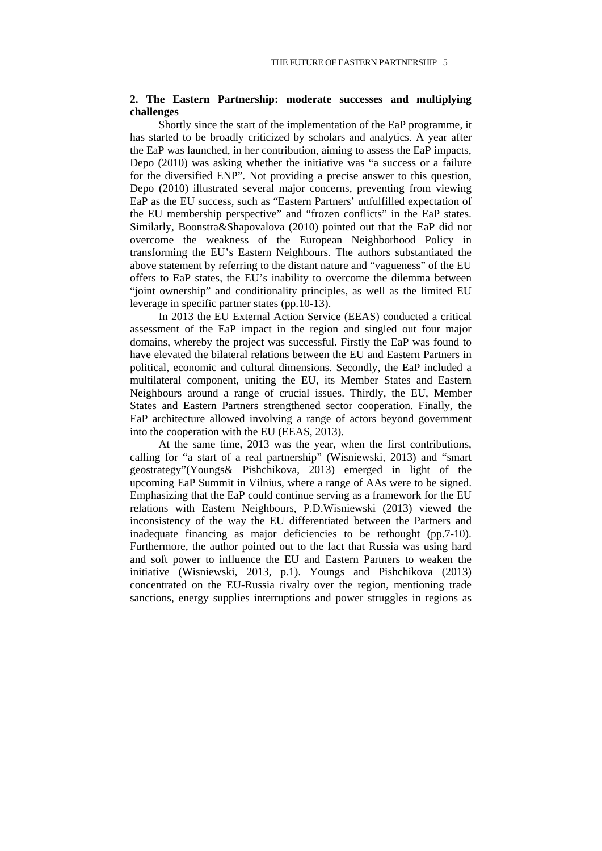### **2. The Eastern Partnership: moderate successes and multiplying challenges**

Shortly since the start of the implementation of the EaP programme, it has started to be broadly criticized by scholars and analytics. A year after the EaP was launched, in her contribution, aiming to assess the EaP impacts, Depo (2010) was asking whether the initiative was "a success or a failure for the diversified ENP". Not providing a precise answer to this question, Depo (2010) illustrated several major concerns, preventing from viewing EaP as the EU success, such as "Eastern Partners' unfulfilled expectation of the EU membership perspective" and "frozen conflicts" in the EaP states. Similarly, Boonstra&Shapovalova (2010) pointed out that the EaP did not overcome the weakness of the European Neighborhood Policy in transforming the EU's Eastern Neighbours. The authors substantiated the above statement by referring to the distant nature and "vagueness" of the EU offers to EaP states, the EU's inability to overcome the dilemma between "joint ownership" and conditionality principles, as well as the limited EU leverage in specific partner states (pp.10-13).

In 2013 the EU External Action Service (EEAS) conducted a critical assessment of the EaP impact in the region and singled out four major domains, whereby the project was successful. Firstly the EaP was found to have elevated the bilateral relations between the EU and Eastern Partners in political, economic and cultural dimensions. Secondly, the EaP included a multilateral component, uniting the EU, its Member States and Eastern Neighbours around a range of crucial issues. Thirdly, the EU, Member States and Eastern Partners strengthened sector cooperation. Finally, the EaP architecture allowed involving a range of actors beyond government into the cooperation with the EU (EEAS, 2013).

At the same time, 2013 was the year, when the first contributions, calling for "a start of a real partnership" (Wisniewski, 2013) and "smart geostrategy"(Youngs& Pishchikova, 2013) emerged in light of the upcoming EaP Summit in Vilnius, where a range of AAs were to be signed. Emphasizing that the EaP could continue serving as a framework for the EU relations with Eastern Neighbours, P.D.Wisniewski (2013) viewed the inconsistency of the way the EU differentiated between the Partners and inadequate financing as major deficiencies to be rethought (pp.7-10). Furthermore, the author pointed out to the fact that Russia was using hard and soft power to influence the EU and Eastern Partners to weaken the initiative (Wisniewski, 2013, p.1). Youngs and Pishchikova (2013) concentrated on the EU-Russia rivalry over the region, mentioning trade sanctions, energy supplies interruptions and power struggles in regions as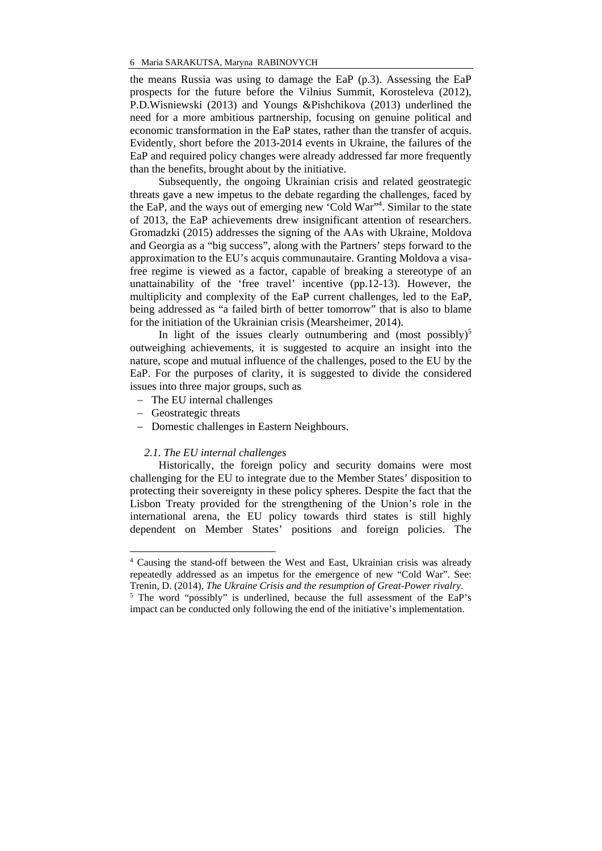the means Russia was using to damage the EaP (p.3). Assessing the EaP prospects for the future before the Vilnius Summit, Korosteleva (2012), P.D.Wisniewski (2013) and Youngs &Pishchikova (2013) underlined the need for a more ambitious partnership, focusing on genuine political and economic transformation in the EaP states, rather than the transfer of acquis. Evidently, short before the 2013-2014 events in Ukraine, the failures of the EaP and required policy changes were already addressed far more frequently than the benefits, brought about by the initiative.

Subsequently, the ongoing Ukrainian crisis and related geostrategic threats gave a new impetus to the debate regarding the challenges, faced by the EaP, and the ways out of emerging new 'Cold War"<sup>4</sup>. Similar to the state of 2013, the EaP achievements drew insignificant attention of researchers. Gromadzki (2015) addresses the signing of the AAs with Ukraine, Moldova and Georgia as a "big success", along with the Partners' steps forward to the approximation to the EU's acquis communautaire. Granting Moldova a visafree regime is viewed as a factor, capable of breaking a stereotype of an unattainability of the 'free travel' incentive (pp.12-13). However, the multiplicity and complexity of the EaP current challenges, led to the EaP, being addressed as "a failed birth of better tomorrow" that is also to blame for the initiation of the Ukrainian crisis (Mearsheimer, 2014).

In light of the issues clearly outnumbering and (most possibly)<sup>5</sup> outweighing achievements, it is suggested to acquire an insight into the nature, scope and mutual influence of the challenges, posed to the EU by the EaP. For the purposes of clarity, it is suggested to divide the considered issues into three major groups, such as

- The EU internal challenges
- Geostrategic threats

<u>.</u>

- Domestic challenges in Eastern Neighbours.

### *2.1. The EU internal challenges*

Historically, the foreign policy and security domains were most challenging for the EU to integrate due to the Member States' disposition to protecting their sovereignty in these policy spheres. Despite the fact that the Lisbon Treaty provided for the strengthening of the Union's role in the international arena, the EU policy towards third states is still highly dependent on Member States' positions and foreign policies. The

<sup>4</sup> Causing the stand-off between the West and East, Ukrainian crisis was already repeatedly addressed as an impetus for the emergence of new "Cold War". See: Trenin, D. (2014), *The Ukraine Crisis and the resumption of Great-Power rivalry*. 5

<sup>&</sup>lt;sup>5</sup> The word "possibly" is underlined, because the full assessment of the EaP's impact can be conducted only following the end of the initiative's implementation.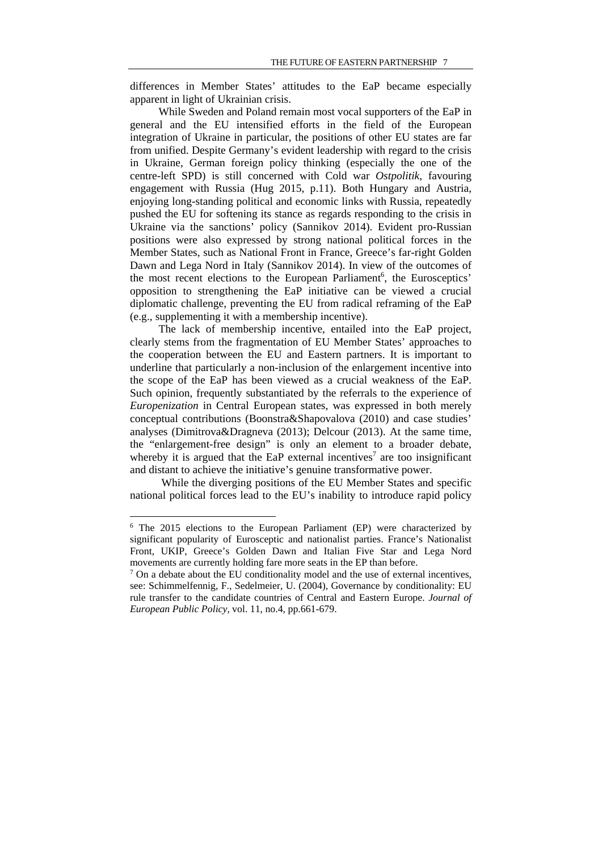differences in Member States' attitudes to the EaP became especially apparent in light of Ukrainian crisis.

While Sweden and Poland remain most vocal supporters of the EaP in general and the EU intensified efforts in the field of the European integration of Ukraine in particular, the positions of other EU states are far from unified. Despite Germany's evident leadership with regard to the crisis in Ukraine, German foreign policy thinking (especially the one of the centre-left SPD) is still concerned with Cold war *Ostpolitik*, favouring engagement with Russia (Hug 2015, p.11). Both Hungary and Austria, enjoying long-standing political and economic links with Russia, repeatedly pushed the EU for softening its stance as regards responding to the crisis in Ukraine via the sanctions' policy (Sannikov 2014). Evident pro-Russian positions were also expressed by strong national political forces in the Member States, such as National Front in France, Greece's far-right Golden Dawn and Lega Nord in Italy (Sannikov 2014). In view of the outcomes of the most recent elections to the European Parliament<sup>6</sup>, the Eurosceptics' opposition to strengthening the EaP initiative can be viewed a crucial diplomatic challenge, preventing the EU from radical reframing of the EaP (e.g., supplementing it with a membership incentive).

The lack of membership incentive, entailed into the EaP project, clearly stems from the fragmentation of EU Member States' approaches to the cooperation between the EU and Eastern partners. It is important to underline that particularly a non-inclusion of the enlargement incentive into the scope of the EaP has been viewed as a crucial weakness of the EaP. Such opinion, frequently substantiated by the referrals to the experience of *Europenization* in Central European states, was expressed in both merely conceptual contributions (Boonstra&Shapovalova (2010) and case studies' analyses (Dimitrova&Dragneva (2013); Delcour (2013). At the same time, the "enlargement-free design" is only an element to a broader debate, whereby it is argued that the EaP external incentives<sup>7</sup> are too insignificant and distant to achieve the initiative's genuine transformative power.

 While the diverging positions of the EU Member States and specific national political forces lead to the EU's inability to introduce rapid policy

<u>.</u>

<sup>&</sup>lt;sup>6</sup> The 2015 elections to the European Parliament (EP) were characterized by significant popularity of Eurosceptic and nationalist parties. France's Nationalist Front, UKIP, Greece's Golden Dawn and Italian Five Star and Lega Nord movements are currently holding fare more seats in the EP than before.

 $<sup>7</sup>$  On a debate about the EU conditionality model and the use of external incentives,</sup> see: Schimmelfennig, F., Sedelmeier, U. (2004), Governance by conditionality: EU rule transfer to the candidate countries of Central and Eastern Europe. *Journal of European Public Policy,* vol. 11, no.4, pp.661-679.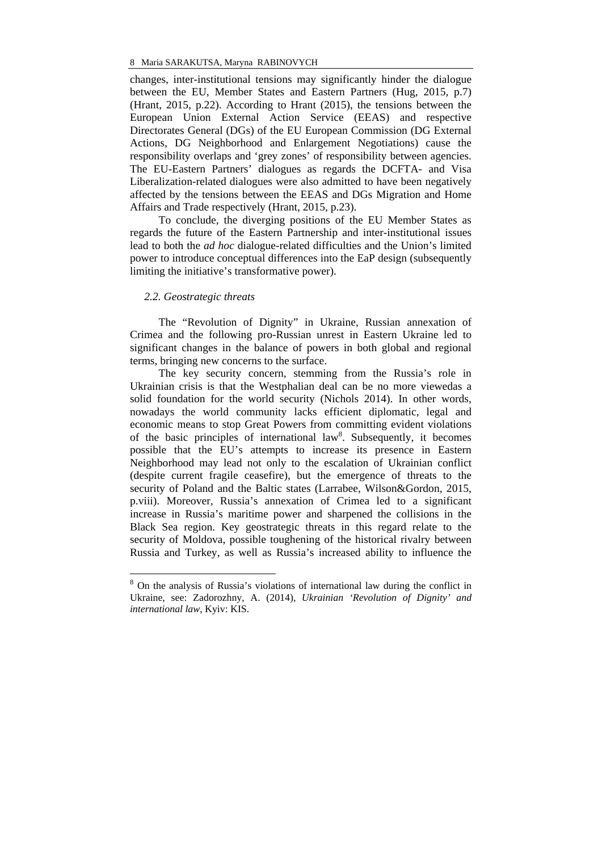changes, inter-institutional tensions may significantly hinder the dialogue between the EU, Member States and Eastern Partners (Hug, 2015, p.7) (Hrant, 2015, p.22). According to Hrant (2015), the tensions between the European Union External Action Service (EEAS) and respective Directorates General (DGs) of the EU European Commission (DG External Actions, DG Neighborhood and Enlargement Negotiations) cause the responsibility overlaps and 'grey zones' of responsibility between agencies. The EU-Eastern Partners' dialogues as regards the DCFTA- and Visa Liberalization-related dialogues were also admitted to have been negatively affected by the tensions between the EEAS and DGs Migration and Home Affairs and Trade respectively (Hrant, 2015, p.23).

To conclude, the diverging positions of the EU Member States as regards the future of the Eastern Partnership and inter-institutional issues lead to both the *ad hoc* dialogue-related difficulties and the Union's limited power to introduce conceptual differences into the EaP design (subsequently limiting the initiative's transformative power).

### *2.2. Geostrategic threats*

<u>.</u>

The "Revolution of Dignity" in Ukraine, Russian annexation of Crimea and the following pro-Russian unrest in Eastern Ukraine led to significant changes in the balance of powers in both global and regional terms, bringing new concerns to the surface.

The key security concern, stemming from the Russia's role in Ukrainian crisis is that the Westphalian deal can be no more viewedas a solid foundation for the world security (Nichols 2014). In other words, nowadays the world community lacks efficient diplomatic, legal and economic means to stop Great Powers from committing evident violations of the basic principles of international law<sup>8</sup>. Subsequently, it becomes possible that the EU's attempts to increase its presence in Eastern Neighborhood may lead not only to the escalation of Ukrainian conflict (despite current fragile ceasefire), but the emergence of threats to the security of Poland and the Baltic states (Larrabee, Wilson&Gordon, 2015, p.viii). Moreover, Russia's annexation of Crimea led to a significant increase in Russia's maritime power and sharpened the collisions in the Black Sea region. Key geostrategic threats in this regard relate to the security of Moldova, possible toughening of the historical rivalry between Russia and Turkey, as well as Russia's increased ability to influence the

<sup>8</sup> On the analysis of Russia's violations of international law during the conflict in Ukraine, see: Zadorozhny, A. (2014), *Ukrainian 'Revolution of Dignity' and international law*, Kyiv: KIS.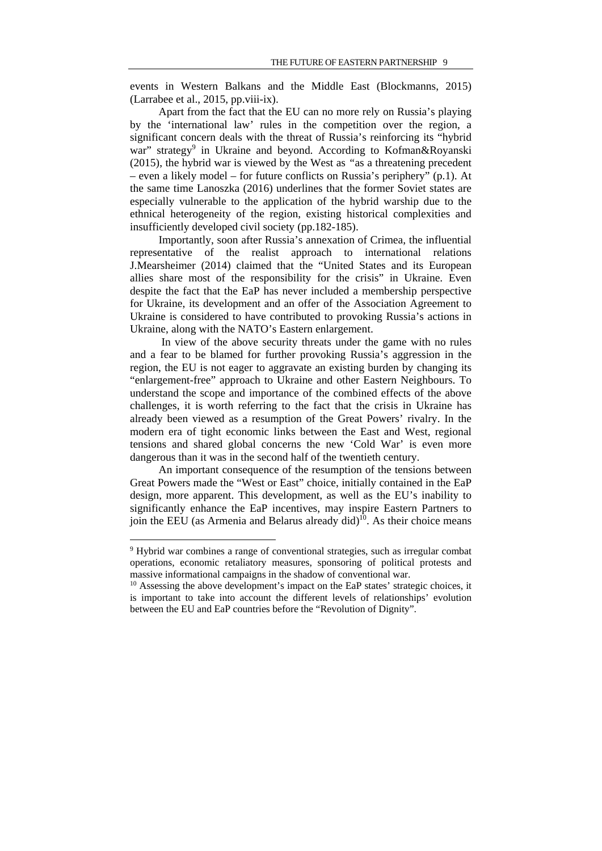events in Western Balkans and the Middle East (Blockmanns, 2015) (Larrabee et al., 2015, pp.viii-ix).

Apart from the fact that the EU can no more rely on Russia's playing by the 'international law' rules in the competition over the region, a significant concern deals with the threat of Russia's reinforcing its "hybrid war" strategy<sup>9</sup> in Ukraine and beyond. According to Kofman&Royanski (2015), the hybrid war is viewed by the West as *"*as a threatening precedent – even a likely model – for future conflicts on Russia's periphery" (p.1). At the same time Lanoszka (2016) underlines that the former Soviet states are especially vulnerable to the application of the hybrid warship due to the ethnical heterogeneity of the region, existing historical complexities and insufficiently developed civil society (pp.182-185).

Importantly, soon after Russia's annexation of Crimea, the influential representative of the realist approach to international relations J.Mearsheimer (2014) claimed that the "United States and its European allies share most of the responsibility for the crisis" in Ukraine. Even despite the fact that the EaP has never included a membership perspective for Ukraine, its development and an offer of the Association Agreement to Ukraine is considered to have contributed to provoking Russia's actions in Ukraine, along with the NATO's Eastern enlargement.

 In view of the above security threats under the game with no rules and a fear to be blamed for further provoking Russia's aggression in the region, the EU is not eager to aggravate an existing burden by changing its "enlargement-free" approach to Ukraine and other Eastern Neighbours. To understand the scope and importance of the combined effects of the above challenges, it is worth referring to the fact that the crisis in Ukraine has already been viewed as a resumption of the Great Powers' rivalry. In the modern era of tight economic links between the East and West, regional tensions and shared global concerns the new 'Cold War' is even more dangerous than it was in the second half of the twentieth century.

An important consequence of the resumption of the tensions between Great Powers made the "West or East" choice, initially contained in the EaP design, more apparent. This development, as well as the EU's inability to significantly enhance the EaP incentives, may inspire Eastern Partners to join the EEU (as Armenia and Belarus already did)<sup>10</sup>. As their choice means

<u>.</u>

<sup>&</sup>lt;sup>9</sup> Hybrid war combines a range of conventional strategies, such as irregular combat operations, economic retaliatory measures, sponsoring of political protests and massive informational campaigns in the shadow of conventional war.

<sup>&</sup>lt;sup>10</sup> Assessing the above development's impact on the EaP states' strategic choices, it is important to take into account the different levels of relationships' evolution between the EU and EaP countries before the "Revolution of Dignity".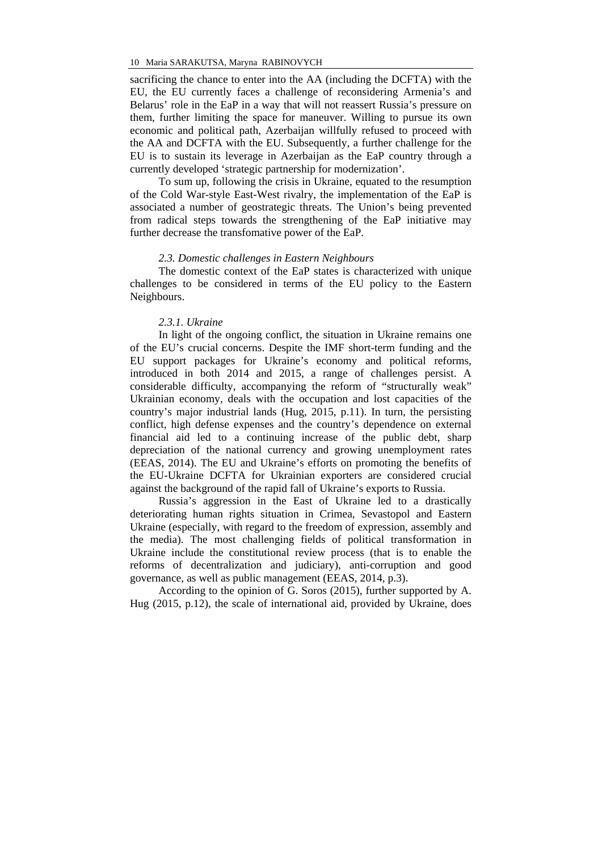sacrificing the chance to enter into the AA (including the DCFTA) with the EU, the EU currently faces a challenge of reconsidering Armenia's and Belarus' role in the EaP in a way that will not reassert Russia's pressure on them, further limiting the space for maneuver. Willing to pursue its own economic and political path, Azerbaijan willfully refused to proceed with the AA and DCFTA with the EU. Subsequently, a further challenge for the EU is to sustain its leverage in Azerbaijan as the EaP country through a currently developed 'strategic partnership for modernization'.

To sum up, following the crisis in Ukraine, equated to the resumption of the Cold War-style East-West rivalry, the implementation of the EaP is associated a number of geostrategic threats. The Union's being prevented from radical steps towards the strengthening of the EaP initiative may further decrease the transfomative power of the EaP.

#### *2.3. Domestic challenges in Eastern Neighbours*

The domestic context of the EaP states is characterized with unique challenges to be considered in terms of the EU policy to the Eastern Neighbours.

### *2.3.1. Ukraine*

In light of the ongoing conflict, the situation in Ukraine remains one of the EU's crucial concerns. Despite the IMF short-term funding and the EU support packages for Ukraine's economy and political reforms, introduced in both 2014 and 2015, a range of challenges persist. A considerable difficulty, accompanying the reform of "structurally weak" Ukrainian economy, deals with the occupation and lost capacities of the country's major industrial lands (Hug, 2015, p.11). In turn, the persisting conflict, high defense expenses and the country's dependence on external financial aid led to a continuing increase of the public debt, sharp depreciation of the national currency and growing unemployment rates (EEAS, 2014). The EU and Ukraine's efforts on promoting the benefits of the EU-Ukraine DCFTA for Ukrainian exporters are considered crucial against the background of the rapid fall of Ukraine's exports to Russia.

Russia's aggression in the East of Ukraine led to a drastically deteriorating human rights situation in Crimea, Sevastopol and Eastern Ukraine (especially, with regard to the freedom of expression, assembly and the media). The most challenging fields of political transformation in Ukraine include the constitutional review process (that is to enable the reforms of decentralization and judiciary), anti-corruption and good governance, as well as public management (EEAS, 2014, p.3).

According to the opinion of G. Soros (2015), further supported by A. Hug (2015, p.12), the scale of international aid, provided by Ukraine, does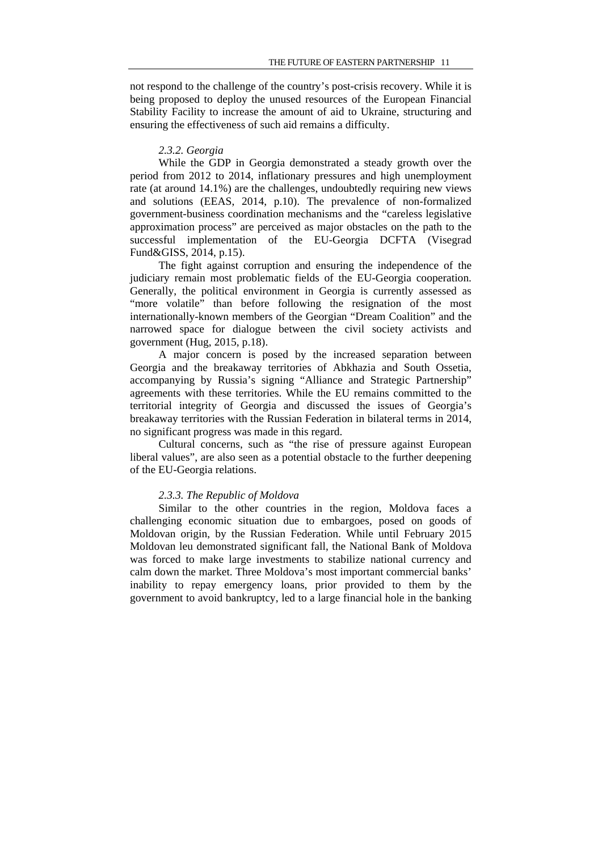not respond to the challenge of the country's post-crisis recovery. While it is being proposed to deploy the unused resources of the European Financial Stability Facility to increase the amount of aid to Ukraine, structuring and ensuring the effectiveness of such aid remains a difficulty.

### *2.3.2. Georgia*

While the GDP in Georgia demonstrated a steady growth over the period from 2012 to 2014, inflationary pressures and high unemployment rate (at around 14.1%) are the challenges, undoubtedly requiring new views and solutions (EEAS, 2014, p.10). The prevalence of non-formalized government-business coordination mechanisms and the "careless legislative approximation process" are perceived as major obstacles on the path to the successful implementation of the EU-Georgia DCFTA (Visegrad Fund&GISS, 2014, p.15).

The fight against corruption and ensuring the independence of the judiciary remain most problematic fields of the EU-Georgia cooperation. Generally, the political environment in Georgia is currently assessed as "more volatile" than before following the resignation of the most internationally-known members of the Georgian "Dream Coalition" and the narrowed space for dialogue between the civil society activists and government (Hug, 2015, p.18).

A major concern is posed by the increased separation between Georgia and the breakaway territories of Abkhazia and South Ossetia, accompanying by Russia's signing "Alliance and Strategic Partnership" agreements with these territories. While the EU remains committed to the territorial integrity of Georgia and discussed the issues of Georgia's breakaway territories with the Russian Federation in bilateral terms in 2014, no significant progress was made in this regard.

Cultural concerns, such as "the rise of pressure against European liberal values", are also seen as a potential obstacle to the further deepening of the EU-Georgia relations.

#### *2.3.3. The Republic of Moldova*

Similar to the other countries in the region, Moldova faces a challenging economic situation due to embargoes, posed on goods of Moldovan origin, by the Russian Federation. While until February 2015 Moldovan leu demonstrated significant fall, the National Bank of Moldova was forced to make large investments to stabilize national currency and calm down the market. Three Moldova's most important commercial banks' inability to repay emergency loans, prior provided to them by the government to avoid bankruptcy, led to a large financial hole in the banking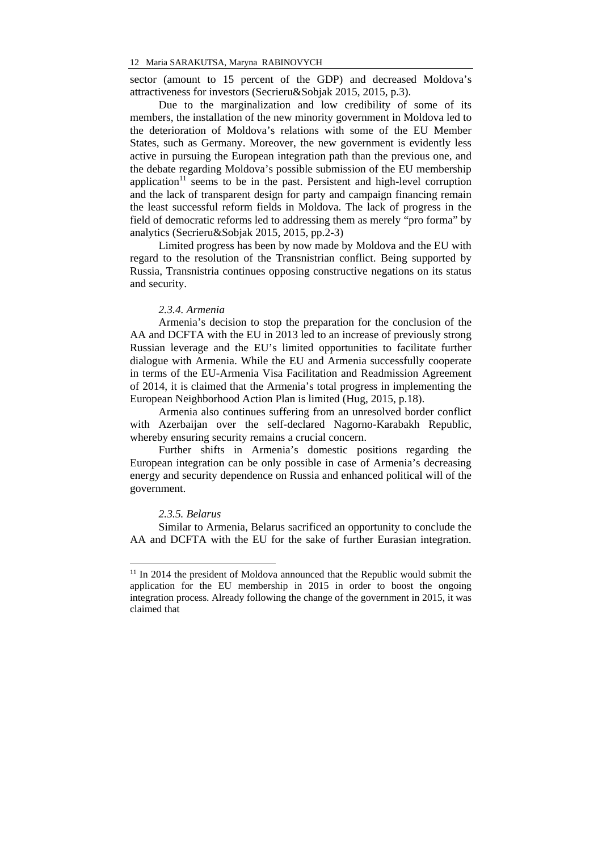sector (amount to 15 percent of the GDP) and decreased Moldova's attractiveness for investors (Secrieru&Sobjak 2015, 2015, p.3).

Due to the marginalization and low credibility of some of its members, the installation of the new minority government in Moldova led to the deterioration of Moldova's relations with some of the EU Member States, such as Germany. Moreover, the new government is evidently less active in pursuing the European integration path than the previous one, and the debate regarding Moldova's possible submission of the EU membership application $11$  seems to be in the past. Persistent and high-level corruption and the lack of transparent design for party and campaign financing remain the least successful reform fields in Moldova. The lack of progress in the field of democratic reforms led to addressing them as merely "pro forma" by analytics (Secrieru&Sobjak 2015, 2015, pp.2-3)

Limited progress has been by now made by Moldova and the EU with regard to the resolution of the Transnistrian conflict. Being supported by Russia, Transnistria continues opposing constructive negations on its status and security.

#### *2.3.4. Armenia*

Armenia's decision to stop the preparation for the conclusion of the AA and DCFTA with the EU in 2013 led to an increase of previously strong Russian leverage and the EU's limited opportunities to facilitate further dialogue with Armenia. While the EU and Armenia successfully cooperate in terms of the EU-Armenia Visa Facilitation and Readmission Agreement of 2014, it is claimed that the Armenia's total progress in implementing the European Neighborhood Action Plan is limited (Hug, 2015, p.18).

Armenia also continues suffering from an unresolved border conflict with Azerbaijan over the self-declared Nagorno-Karabakh Republic, whereby ensuring security remains a crucial concern.

Further shifts in Armenia's domestic positions regarding the European integration can be only possible in case of Armenia's decreasing energy and security dependence on Russia and enhanced political will of the government.

#### *2.3.5. Belarus*

-

Similar to Armenia, Belarus sacrificed an opportunity to conclude the AA and DCFTA with the EU for the sake of further Eurasian integration.

 $11$  In 2014 the president of Moldova announced that the Republic would submit the application for the EU membership in 2015 in order to boost the ongoing integration process. Already following the change of the government in 2015, it was claimed that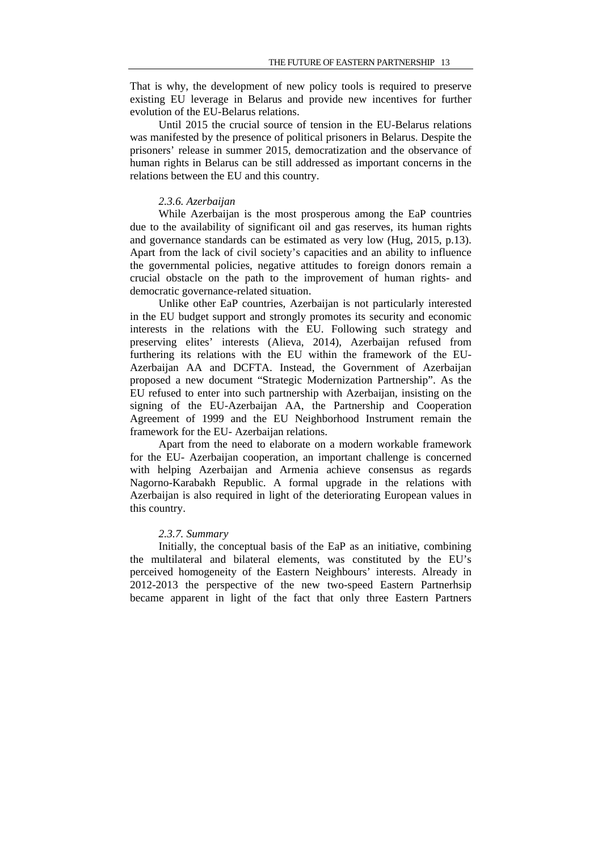That is why, the development of new policy tools is required to preserve existing EU leverage in Belarus and provide new incentives for further evolution of the EU-Belarus relations.

Until 2015 the crucial source of tension in the EU-Belarus relations was manifested by the presence of political prisoners in Belarus. Despite the prisoners' release in summer 2015, democratization and the observance of human rights in Belarus can be still addressed as important concerns in the relations between the EU and this country.

#### *2.3.6. Azerbaijan*

While Azerbaijan is the most prosperous among the EaP countries due to the availability of significant oil and gas reserves, its human rights and governance standards can be estimated as very low (Hug, 2015, p.13). Apart from the lack of civil society's capacities and an ability to influence the governmental policies, negative attitudes to foreign donors remain a crucial obstacle on the path to the improvement of human rights- and democratic governance-related situation.

Unlike other EaP countries, Azerbaijan is not particularly interested in the EU budget support and strongly promotes its security and economic interests in the relations with the EU. Following such strategy and preserving elites' interests (Alieva, 2014), Azerbaijan refused from furthering its relations with the EU within the framework of the EU-Azerbaijan AA and DCFTA. Instead, the Government of Azerbaijan proposed a new document "Strategic Modernization Partnership". As the EU refused to enter into such partnership with Azerbaijan, insisting on the signing of the EU-Azerbaijan AA, the Partnership and Cooperation Agreement of 1999 and the EU Neighborhood Instrument remain the framework for the EU- Azerbaijan relations.

Apart from the need to elaborate on a modern workable framework for the EU- Azerbaijan cooperation, an important challenge is concerned with helping Azerbaijan and Armenia achieve consensus as regards Nagorno-Karabakh Republic. A formal upgrade in the relations with Azerbaijan is also required in light of the deteriorating European values in this country.

### *2.3.7. Summary*

Initially, the conceptual basis of the EaP as an initiative, combining the multilateral and bilateral elements, was constituted by the EU's perceived homogeneity of the Eastern Neighbours' interests. Already in 2012-2013 the perspective of the new two-speed Eastern Partnerhsip became apparent in light of the fact that only three Eastern Partners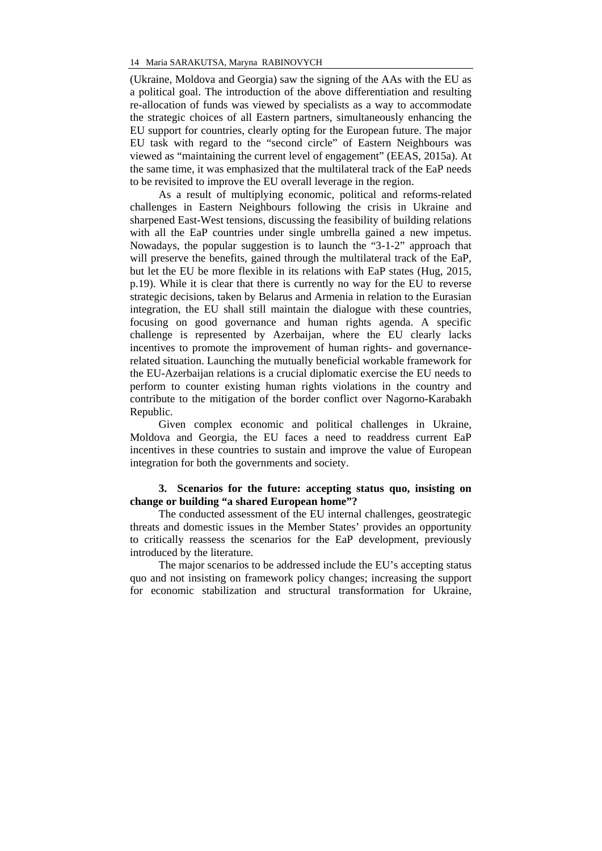(Ukraine, Moldova and Georgia) saw the signing of the AAs with the EU as a political goal. The introduction of the above differentiation and resulting re-allocation of funds was viewed by specialists as a way to accommodate the strategic choices of all Eastern partners, simultaneously enhancing the EU support for countries, clearly opting for the European future. The major EU task with regard to the "second circle" of Eastern Neighbours was viewed as "maintaining the current level of engagement" (EEAS, 2015a). At the same time, it was emphasized that the multilateral track of the EaP needs to be revisited to improve the EU overall leverage in the region.

As a result of multiplying economic, political and reforms-related challenges in Eastern Neighbours following the crisis in Ukraine and sharpened East-West tensions, discussing the feasibility of building relations with all the EaP countries under single umbrella gained a new impetus. Nowadays, the popular suggestion is to launch the "3-1-2" approach that will preserve the benefits, gained through the multilateral track of the EaP, but let the EU be more flexible in its relations with EaP states (Hug, 2015, p.19). While it is clear that there is currently no way for the EU to reverse strategic decisions, taken by Belarus and Armenia in relation to the Eurasian integration, the EU shall still maintain the dialogue with these countries, focusing on good governance and human rights agenda. A specific challenge is represented by Azerbaijan, where the EU clearly lacks incentives to promote the improvement of human rights- and governancerelated situation. Launching the mutually beneficial workable framework for the EU-Azerbaijan relations is a crucial diplomatic exercise the EU needs to perform to counter existing human rights violations in the country and contribute to the mitigation of the border conflict over Nagorno-Karabakh Republic.

Given complex economic and political challenges in Ukraine, Moldova and Georgia, the EU faces a need to readdress current EaP incentives in these countries to sustain and improve the value of European integration for both the governments and society.

## **3. Scenarios for the future: accepting status quo, insisting on change or building "a shared European home"?**

The conducted assessment of the EU internal challenges, geostrategic threats and domestic issues in the Member States' provides an opportunity to critically reassess the scenarios for the EaP development, previously introduced by the literature.

The major scenarios to be addressed include the EU's accepting status quo and not insisting on framework policy changes; increasing the support for economic stabilization and structural transformation for Ukraine,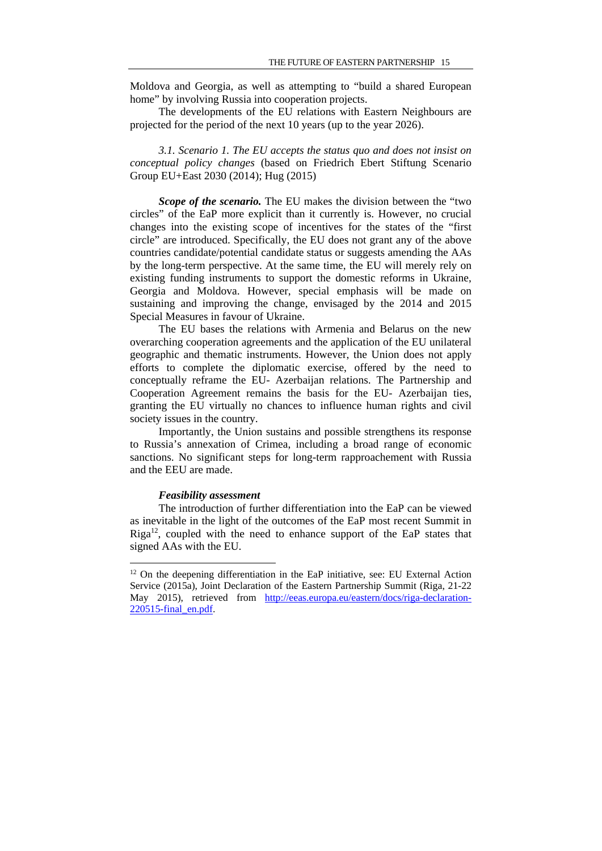Moldova and Georgia, as well as attempting to "build a shared European home" by involving Russia into cooperation projects.

The developments of the EU relations with Eastern Neighbours are projected for the period of the next 10 years (up to the year 2026).

*3.1. Scenario 1. The EU accepts the status quo and does not insist on conceptual policy changes* (based on Friedrich Ebert Stiftung Scenario Group EU+East 2030 (2014); Hug (2015)

*Scope of the scenario.* The EU makes the division between the "two circles" of the EaP more explicit than it currently is. However, no crucial changes into the existing scope of incentives for the states of the "first circle" are introduced. Specifically, the EU does not grant any of the above countries candidate/potential candidate status or suggests amending the AAs by the long-term perspective. At the same time, the EU will merely rely on existing funding instruments to support the domestic reforms in Ukraine, Georgia and Moldova. However, special emphasis will be made on sustaining and improving the change, envisaged by the 2014 and 2015 Special Measures in favour of Ukraine.

The EU bases the relations with Armenia and Belarus on the new overarching cooperation agreements and the application of the EU unilateral geographic and thematic instruments. However, the Union does not apply efforts to complete the diplomatic exercise, offered by the need to conceptually reframe the EU- Azerbaijan relations. The Partnership and Cooperation Agreement remains the basis for the EU- Azerbaijan ties, granting the EU virtually no chances to influence human rights and civil society issues in the country.

Importantly, the Union sustains and possible strengthens its response to Russia's annexation of Crimea, including a broad range of economic sanctions. No significant steps for long-term rapproachement with Russia and the EEU are made.

#### *Feasibility assessment*

-

The introduction of further differentiation into the EaP can be viewed as inevitable in the light of the outcomes of the EaP most recent Summit in  $Riga<sup>12</sup>$ , coupled with the need to enhance support of the EaP states that signed AAs with the EU.

<sup>&</sup>lt;sup>12</sup> On the deepening differentiation in the EaP initiative, see: EU External Action Service (2015a), Joint Declaration of the Eastern Partnership Summit (Riga, 21-22 May 2015), retrieved from http://eeas.europa.eu/eastern/docs/riga-declaration-220515-final\_en.pdf.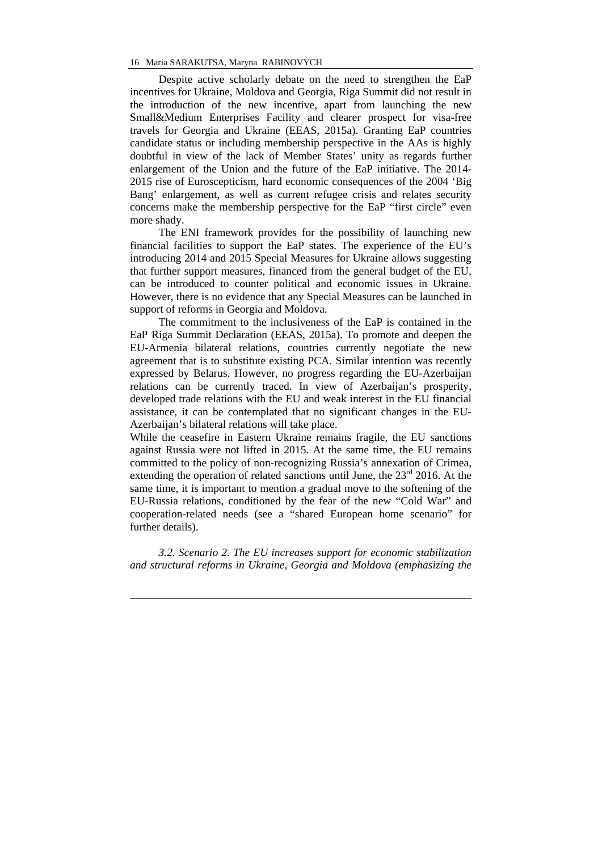Despite active scholarly debate on the need to strengthen the EaP incentives for Ukraine, Moldova and Georgia, Riga Summit did not result in the introduction of the new incentive, apart from launching the new Small&Medium Enterprises Facility and clearer prospect for visa-free travels for Georgia and Ukraine (EEAS, 2015a). Granting EaP countries candidate status or including membership perspective in the AAs is highly doubtful in view of the lack of Member States' unity as regards further enlargement of the Union and the future of the EaP initiative. The 2014- 2015 rise of Euroscepticism, hard economic consequences of the 2004 'Big Bang' enlargement, as well as current refugee crisis and relates security concerns make the membership perspective for the EaP "first circle" even more shady.

The ENI framework provides for the possibility of launching new financial facilities to support the EaP states. The experience of the EU's introducing 2014 and 2015 Special Measures for Ukraine allows suggesting that further support measures, financed from the general budget of the EU, can be introduced to counter political and economic issues in Ukraine. However, there is no evidence that any Special Measures can be launched in support of reforms in Georgia and Moldova.

The commitment to the inclusiveness of the EaP is contained in the EaP Riga Summit Declaration (EEAS, 2015a). To promote and deepen the EU-Armenia bilateral relations, countries currently negotiate the new agreement that is to substitute existing PCA. Similar intention was recently expressed by Belarus. However, no progress regarding the EU-Azerbaijan relations can be currently traced. In view of Azerbaijan's prosperity, developed trade relations with the EU and weak interest in the EU financial assistance, it can be contemplated that no significant changes in the EU-Azerbaijan's bilateral relations will take place.

While the ceasefire in Eastern Ukraine remains fragile, the EU sanctions against Russia were not lifted in 2015. At the same time, the EU remains committed to the policy of non-recognizing Russia's annexation of Crimea, extending the operation of related sanctions until June, the  $23<sup>rd</sup>$  2016. At the same time, it is important to mention a gradual move to the softening of the EU-Russia relations, conditioned by the fear of the new "Cold War" and cooperation-related needs (see a "shared European home scenario" for further details).

*3.2. Scenario 2. The EU increases support for economic stabilization and structural reforms in Ukraine, Georgia and Moldova (emphasizing the* 

<u>.</u>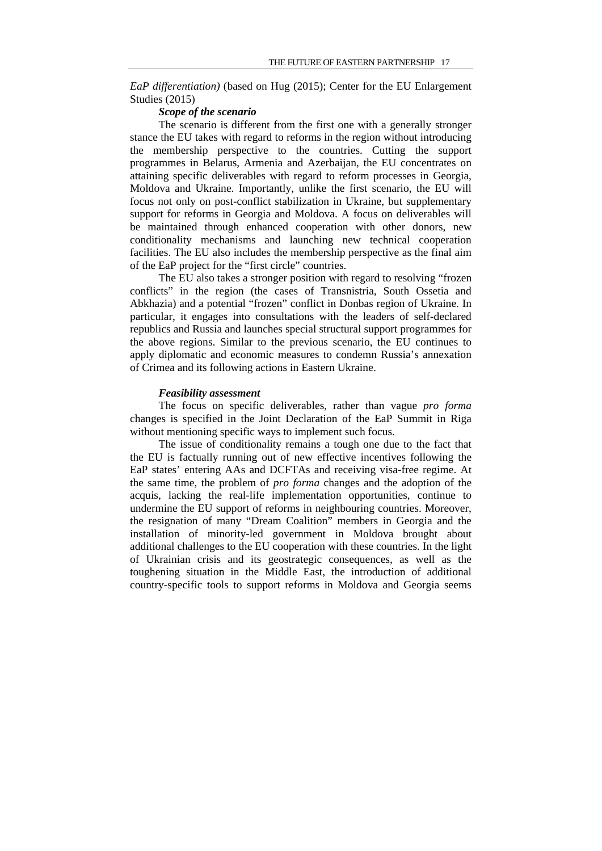*EaP differentiation)* (based on Hug (2015); Center for the EU Enlargement Studies (2015)

#### *Scope of the scenario*

The scenario is different from the first one with a generally stronger stance the EU takes with regard to reforms in the region without introducing the membership perspective to the countries. Cutting the support programmes in Belarus, Armenia and Azerbaijan, the EU concentrates on attaining specific deliverables with regard to reform processes in Georgia, Moldova and Ukraine. Importantly, unlike the first scenario, the EU will focus not only on post-conflict stabilization in Ukraine, but supplementary support for reforms in Georgia and Moldova. A focus on deliverables will be maintained through enhanced cooperation with other donors, new conditionality mechanisms and launching new technical cooperation facilities. The EU also includes the membership perspective as the final aim of the EaP project for the "first circle" countries.

The EU also takes a stronger position with regard to resolving "frozen conflicts" in the region (the cases of Transnistria, South Ossetia and Abkhazia) and a potential "frozen" conflict in Donbas region of Ukraine. In particular, it engages into consultations with the leaders of self-declared republics and Russia and launches special structural support programmes for the above regions. Similar to the previous scenario, the EU continues to apply diplomatic and economic measures to condemn Russia's annexation of Crimea and its following actions in Eastern Ukraine.

#### *Feasibility assessment*

The focus on specific deliverables, rather than vague *pro forma*  changes is specified in the Joint Declaration of the EaP Summit in Riga without mentioning specific ways to implement such focus.

The issue of conditionality remains a tough one due to the fact that the EU is factually running out of new effective incentives following the EaP states' entering AAs and DCFTAs and receiving visa-free regime. At the same time, the problem of *pro forma* changes and the adoption of the acquis, lacking the real-life implementation opportunities, continue to undermine the EU support of reforms in neighbouring countries. Moreover, the resignation of many "Dream Coalition" members in Georgia and the installation of minority-led government in Moldova brought about additional challenges to the EU cooperation with these countries. In the light of Ukrainian crisis and its geostrategic consequences, as well as the toughening situation in the Middle East, the introduction of additional country-specific tools to support reforms in Moldova and Georgia seems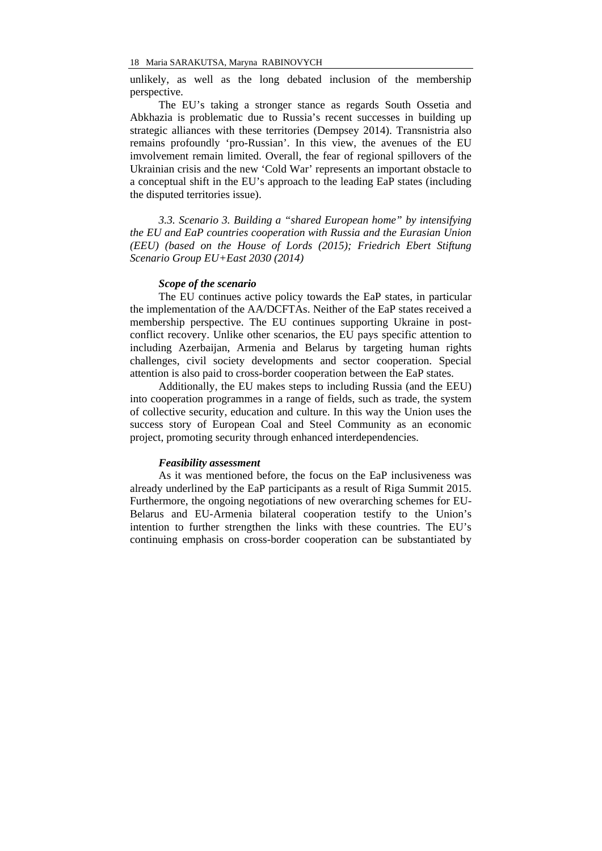unlikely, as well as the long debated inclusion of the membership perspective.

The EU's taking a stronger stance as regards South Ossetia and Abkhazia is problematic due to Russia's recent successes in building up strategic alliances with these territories (Dempsey 2014). Transnistria also remains profoundly 'pro-Russian'. In this view, the avenues of the EU imvolvement remain limited. Overall, the fear of regional spillovers of the Ukrainian crisis and the new 'Cold War' represents an important obstacle to a conceptual shift in the EU's approach to the leading EaP states (including the disputed territories issue).

*3.3. Scenario 3. Building a "shared European home" by intensifying the EU and EaP countries cooperation with Russia and the Eurasian Union (EEU) (based on the House of Lords (2015); Friedrich Ebert Stiftung Scenario Group EU+East 2030 (2014)* 

### *Scope of the scenario*

The EU continues active policy towards the EaP states, in particular the implementation of the AA/DCFTAs. Neither of the EaP states received a membership perspective. The EU continues supporting Ukraine in postconflict recovery. Unlike other scenarios, the EU pays specific attention to including Azerbaijan, Armenia and Belarus by targeting human rights challenges, civil society developments and sector cooperation. Special attention is also paid to cross-border cooperation between the EaP states.

Additionally, the EU makes steps to including Russia (and the EEU) into cooperation programmes in a range of fields, such as trade, the system of collective security, education and culture. In this way the Union uses the success story of European Coal and Steel Community as an economic project, promoting security through enhanced interdependencies.

#### *Feasibility assessment*

As it was mentioned before, the focus on the EaP inclusiveness was already underlined by the EaP participants as a result of Riga Summit 2015. Furthermore, the ongoing negotiations of new overarching schemes for EU-Belarus and EU-Armenia bilateral cooperation testify to the Union's intention to further strengthen the links with these countries. The EU's continuing emphasis on cross-border cooperation can be substantiated by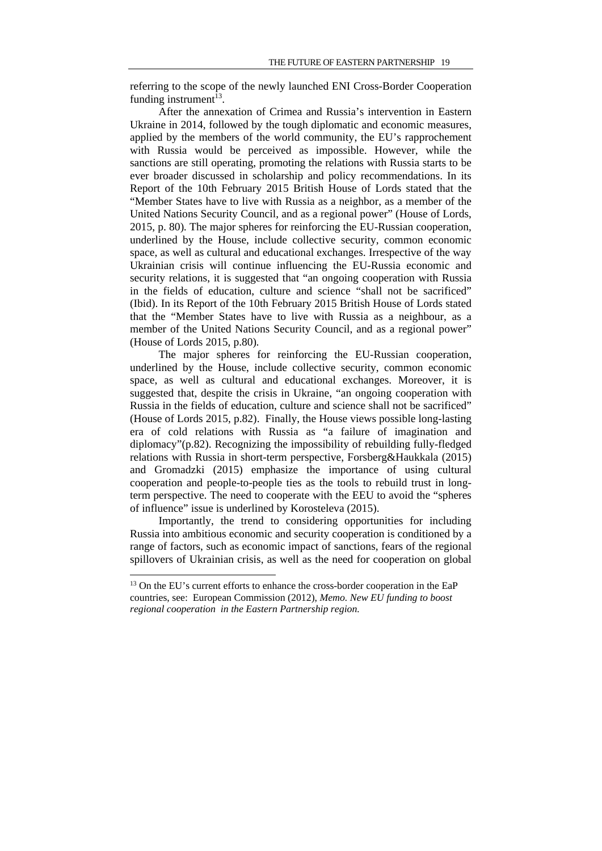referring to the scope of the newly launched ENI Cross-Border Cooperation funding instrument $^{13}$ .

After the annexation of Crimea and Russia's intervention in Eastern Ukraine in 2014, followed by the tough diplomatic and economic measures, applied by the members of the world community, the EU's rapprochement with Russia would be perceived as impossible. However, while the sanctions are still operating, promoting the relations with Russia starts to be ever broader discussed in scholarship and policy recommendations. In its Report of the 10th February 2015 British House of Lords stated that the "Member States have to live with Russia as a neighbor, as a member of the United Nations Security Council, and as a regional power" (House of Lords, 2015, p. 80)*.* The major spheres for reinforcing the EU-Russian cooperation, underlined by the House, include collective security, common economic space, as well as cultural and educational exchanges. Irrespective of the way Ukrainian crisis will continue influencing the EU-Russia economic and security relations, it is suggested that "an ongoing cooperation with Russia in the fields of education, culture and science "shall not be sacrificed" (Ibid). In its Report of the 10th February 2015 British House of Lords stated that the "Member States have to live with Russia as a neighbour, as a member of the United Nations Security Council, and as a regional power" (House of Lords 2015, p.80)*.* 

The major spheres for reinforcing the EU-Russian cooperation, underlined by the House, include collective security, common economic space, as well as cultural and educational exchanges. Moreover, it is suggested that, despite the crisis in Ukraine, "an ongoing cooperation with Russia in the fields of education, culture and science shall not be sacrificed" (House of Lords 2015, p.82). Finally, the House views possible long-lasting era of cold relations with Russia as "a failure of imagination and diplomacy"(p.82). Recognizing the impossibility of rebuilding fully-fledged relations with Russia in short-term perspective, Forsberg&Haukkala (2015) and Gromadzki (2015) emphasize the importance of using cultural cooperation and people-to-people ties as the tools to rebuild trust in longterm perspective. The need to cooperate with the EEU to avoid the "spheres of influence" issue is underlined by Korosteleva (2015).

Importantly, the trend to considering opportunities for including Russia into ambitious economic and security cooperation is conditioned by a range of factors, such as economic impact of sanctions, fears of the regional spillovers of Ukrainian crisis, as well as the need for cooperation on global

<u>.</u>

<sup>&</sup>lt;sup>13</sup> On the EU's current efforts to enhance the cross-border cooperation in the EaP countries, see: European Commission (2012), *Memo. New EU funding to boost regional cooperation in the Eastern Partnership region.*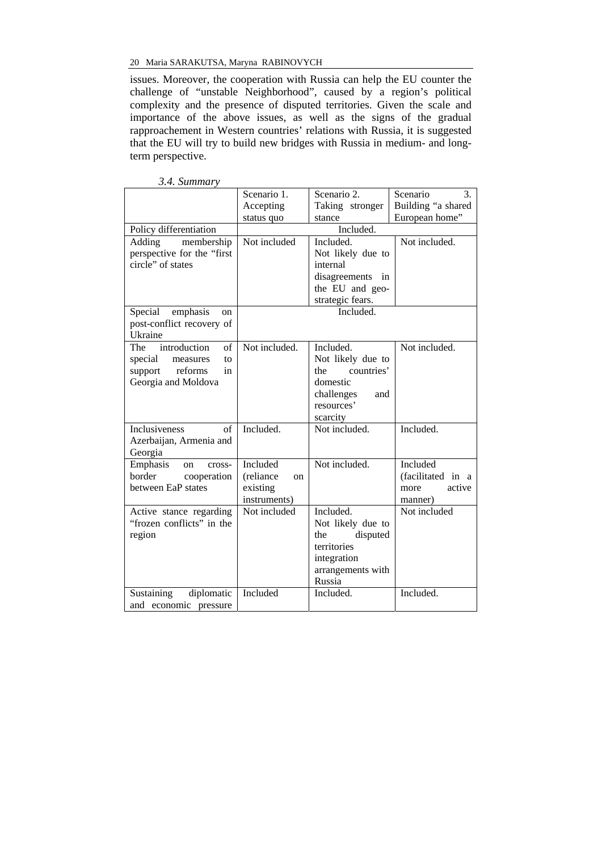issues. Moreover, the cooperation with Russia can help the EU counter the challenge of "unstable Neighborhood", caused by a region's political complexity and the presence of disputed territories. Given the scale and importance of the above issues, as well as the signs of the gradual rapproachement in Western countries' relations with Russia, it is suggested that the EU will try to build new bridges with Russia in medium- and longterm perspective.

|                            | Scenario 1.     | Scenario 2.               | Scenario<br>3.     |
|----------------------------|-----------------|---------------------------|--------------------|
|                            | Accepting       | Taking stronger           | Building "a shared |
|                            | status quo      | stance                    | European home"     |
| Policy differentiation     |                 | Included.                 |                    |
| membership<br>Adding       | Not included    | Included.                 | Not included.      |
| perspective for the "first |                 | Not likely due to         |                    |
| circle" of states          |                 | internal                  |                    |
|                            |                 | disagreements in          |                    |
|                            |                 | the EU and geo-           |                    |
|                            |                 | strategic fears.          |                    |
| Special<br>emphasis<br>on  |                 | Included.                 |                    |
| post-conflict recovery of  |                 |                           |                    |
| Ukraine                    |                 |                           |                    |
| introduction<br>The<br>of  | Not included.   | Included.                 | Not included.      |
| special<br>measures<br>to  |                 | Not likely due to         |                    |
| reforms<br>support<br>in   |                 | countries'<br>the         |                    |
| Georgia and Moldova        |                 | domestic                  |                    |
|                            |                 | challenges<br>and         |                    |
|                            |                 | resources'                |                    |
|                            |                 |                           |                    |
| Inclusiveness<br>of        | Included.       | scarcity<br>Not included. | Included.          |
|                            |                 |                           |                    |
| Azerbaijan, Armenia and    |                 |                           |                    |
| Georgia                    |                 |                           |                    |
| Emphasis<br>cross-<br>on   | Included        | Not included.             | Included           |
| border<br>cooperation      | (reliance<br>on |                           | (facilitated in a  |
| between EaP states         | existing        |                           | active<br>more     |
|                            | instruments)    |                           | manner)            |
| Active stance regarding    | Not included    | Included.                 | Not included       |
| "frozen conflicts" in the  |                 | Not likely due to         |                    |
| region                     |                 | disputed<br>the           |                    |
|                            |                 | territories               |                    |
|                            |                 | integration               |                    |
|                            |                 | arrangements with         |                    |
|                            |                 | Russia                    |                    |
| diplomatic<br>Sustaining   | Included        | Included.                 | Included.          |
| and economic pressure      |                 |                           |                    |

*3.4. Summary*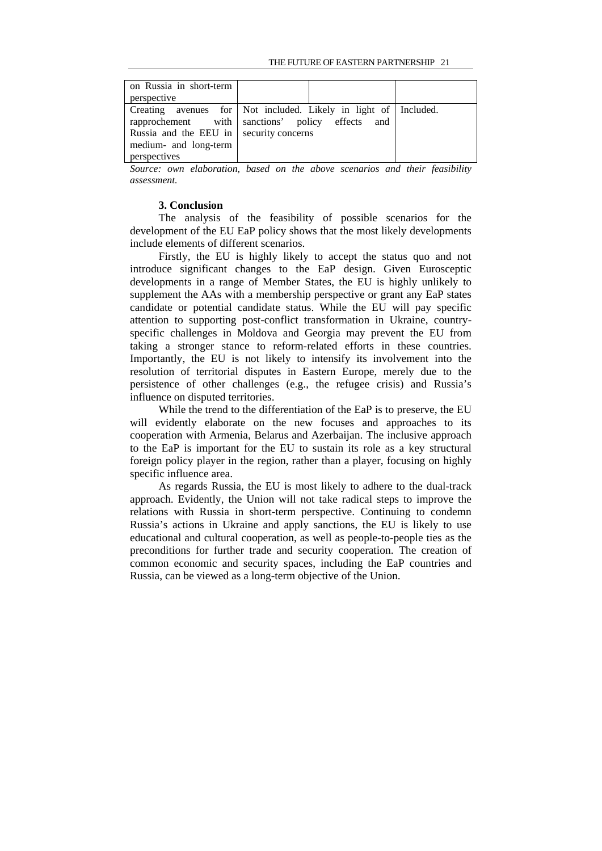| on Russia in short-term<br>perspective                                           |                                                                                                                     |  |
|----------------------------------------------------------------------------------|---------------------------------------------------------------------------------------------------------------------|--|
| Russia and the EEU in security concerns<br>medium- and long-term<br>perspectives | Creating avenues for Not included. Likely in light of Included.<br>rapprochement with sanctions' policy effects and |  |

*Source: own elaboration, based on the above scenarios and their feasibility assessment.* 

### **3. Conclusion**

The analysis of the feasibility of possible scenarios for the development of the EU EaP policy shows that the most likely developments include elements of different scenarios.

Firstly, the EU is highly likely to accept the status quo and not introduce significant changes to the EaP design. Given Eurosceptic developments in a range of Member States, the EU is highly unlikely to supplement the AAs with a membership perspective or grant any EaP states candidate or potential candidate status. While the EU will pay specific attention to supporting post-conflict transformation in Ukraine, countryspecific challenges in Moldova and Georgia may prevent the EU from taking a stronger stance to reform-related efforts in these countries. Importantly, the EU is not likely to intensify its involvement into the resolution of territorial disputes in Eastern Europe, merely due to the persistence of other challenges (e.g., the refugee crisis) and Russia's influence on disputed territories.

While the trend to the differentiation of the EaP is to preserve, the EU will evidently elaborate on the new focuses and approaches to its cooperation with Armenia, Belarus and Azerbaijan. The inclusive approach to the EaP is important for the EU to sustain its role as a key structural foreign policy player in the region, rather than a player, focusing on highly specific influence area.

As regards Russia, the EU is most likely to adhere to the dual-track approach. Evidently, the Union will not take radical steps to improve the relations with Russia in short-term perspective. Continuing to condemn Russia's actions in Ukraine and apply sanctions, the EU is likely to use educational and cultural cooperation, as well as people-to-people ties as the preconditions for further trade and security cooperation. The creation of common economic and security spaces, including the EaP countries and Russia, can be viewed as a long-term objective of the Union.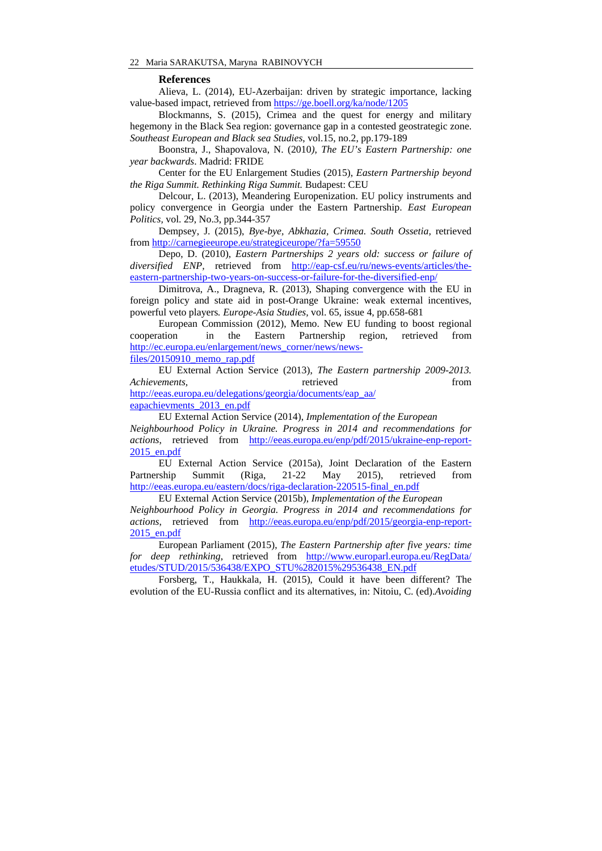#### **References**

Alieva, L. (2014), EU-Azerbaijan: driven by strategic importance, lacking value-based impact, retrieved from https://ge.boell.org/ka/node/1205

Blockmanns, S. (2015), Crimea and the quest for energy and military hegemony in the Black Sea region: governance gap in a contested geostrategic zone. *Southeast European and Black sea Studies*, vol.15, no.2, pp.179-189

Boonstra, J., Shapovalova, N. (2010*), The EU's Eastern Partnership: one year backwards*. Madrid: FRIDE

Center for the EU Enlargement Studies (2015), *Eastern Partnership beyond the Riga Summit. Rethinking Riga Summit.* Budapest: CEU

Delcour, L. (2013), Meandering Europenization. EU policy instruments and policy convergence in Georgia under the Eastern Partnership. *East European Politics,* vol. 29, No.3, pp.344-357

Dempsey, J. (2015), *Bye-bye, Abkhazia, Crimea. South Ossetia,* retrieved from http://carnegieeurope.eu/strategiceurope/?fa=59550

Depo, D. (2010), *Eastern Partnerships 2 years old: success or failure of diversified ENP,* retrieved from http://eap-csf.eu/ru/news-events/articles/theeastern-partnership-two-years-on-success-or-failure-for-the-diversified-enp/

Dimitrova, A., Dragneva, R. (2013), Shaping convergence with the EU in foreign policy and state aid in post-Orange Ukraine: weak external incentives, powerful veto players*. Europe-Asia Studies,* vol. 65, issue 4, pp.658-681

European Commission (2012), Memo. New EU funding to boost regional cooperation in the Eastern Partnership region, retrieved from http://ec.europa.eu/enlargement/news\_corner/news/news-

files/20150910\_memo\_rap.pdf

EU External Action Service (2013), *The Eastern partnership 2009-2013. Achievements,* **retrieved** from *retrieved* from *retrieved* http://eeas.europa.eu/delegations/georgia/documents/eap\_aa/

eapachievments\_2013\_en.pdf

EU External Action Service (2014), *Implementation of the European Neighbourhood Policy in Ukraine. Progress in 2014 and recommendations for actions*, retrieved from http://eeas.europa.eu/enp/pdf/2015/ukraine-enp-report-2015\_en.pdf

EU External Action Service (2015a), Joint Declaration of the Eastern Partnership Summit (Riga, 21-22 May 2015), retrieved from http://eeas.europa.eu/eastern/docs/riga-declaration-220515-final\_en.pdf

EU External Action Service (2015b), *Implementation of the European Neighbourhood Policy in Georgia. Progress in 2014 and recommendations for actions*, retrieved from http://eeas.europa.eu/enp/pdf/2015/georgia-enp-report-2015\_en.pdf

European Parliament (2015), *The Eastern Partnership after five years: time for deep rethinking*, retrieved from http://www.europarl.europa.eu/RegData/ etudes/STUD/2015/536438/EXPO\_STU%282015%29536438\_EN.pdf

Forsberg, T., Haukkala, H. (2015), Could it have been different? The evolution of the EU-Russia conflict and its alternatives, in: Nitoiu, C. (ed).*Avoiding*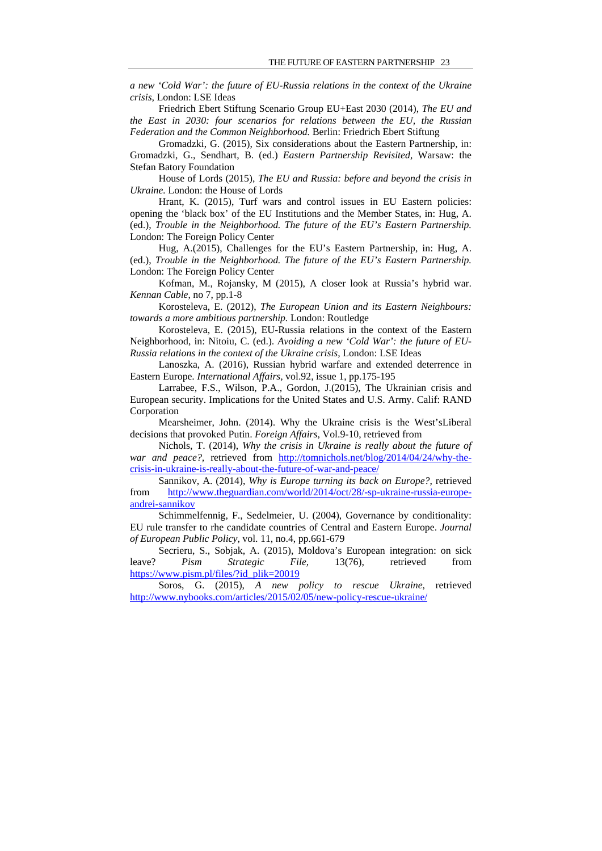*a new 'Cold War': the future of EU-Russia relations in the context of the Ukraine crisis,* London: LSE Ideas

Friedrich Ebert Stiftung Scenario Group EU+East 2030 (2014), *The EU and the East in 2030: four scenarios for relations between the EU, the Russian Federation and the Common Neighborhood.* Berlin: Friedrich Ebert Stiftung

Gromadzki, G. (2015), Six considerations about the Eastern Partnership, in: Gromadzki, G., Sendhart, B. (ed.) *Eastern Partnership Revisited,* Warsaw: the Stefan Batory Foundation

House of Lords (2015), *The EU and Russia: before and beyond the crisis in Ukraine.* London: the House of Lords

Hrant, K. (2015), Turf wars and control issues in EU Eastern policies: opening the 'black box' of the EU Institutions and the Member States, in: Hug, A. (ed.), *Trouble in the Neighborhood. The future of the EU's Eastern Partnership.* London: The Foreign Policy Center

Hug, A.(2015), Challenges for the EU's Eastern Partnership, in: Hug, A. (ed.), *Trouble in the Neighborhood. The future of the EU's Eastern Partnership.* London: The Foreign Policy Center

Kofman, M., Rojansky, M (2015), A closer look at Russia's hybrid war. *Kennan Cable*, no 7, pp.1-8

Korosteleva, E. (2012), *The European Union and its Eastern Neighbours: towards a more ambitious partnership.* London: Routledge

Korosteleva, E. (2015), EU-Russia relations in the context of the Eastern Neighborhood, in: Nitoiu, C. (ed.). *Avoiding a new 'Cold War': the future of EU-Russia relations in the context of the Ukraine crisis,* London: LSE Ideas

Lanoszka, A. (2016), Russian hybrid warfare and extended deterrence in Eastern Europe. *International Affairs,* vol.92, issue 1, pp.175-195

Larrabee, F.S., Wilson, P.A., Gordon, J.(2015), The Ukrainian crisis and European security. Implications for the United States and U.S. Army. Calif: RAND Corporation

Mearsheimer, John. (2014). Why the Ukraine crisis is the West'sLiberal decisions that provoked Putin. *Foreign Affairs*, Vol.9-10, retrieved from

Nichols, T. (2014), *Why the crisis in Ukraine is really about the future of war and peace?,* retrieved from http://tomnichols.net/blog/2014/04/24/why-thecrisis-in-ukraine-is-really-about-the-future-of-war-and-peace/

Sannikov, A. (2014), *Why is Europe turning its back on Europe?*, retrieved from http://www.theguardian.com/world/2014/oct/28/-sp-ukraine-russia-europeandrei-sannikov

Schimmelfennig, F., Sedelmeier, U. (2004), Governance by conditionality: EU rule transfer to rhe candidate countries of Central and Eastern Europe. *Journal of European Public Policy,* vol. 11, no.4, pp.661-679

Secrieru, S., Sobjak, A. (2015), Moldova's European integration: on sick leave? *Pism Strategic File,* 13(76), retrieved from https://www.pism.pl/files/?id\_plik=20019

Soros, G. (2015), *A new policy to rescue Ukraine*, retrieved http://www.nybooks.com/articles/2015/02/05/new-policy-rescue-ukraine/